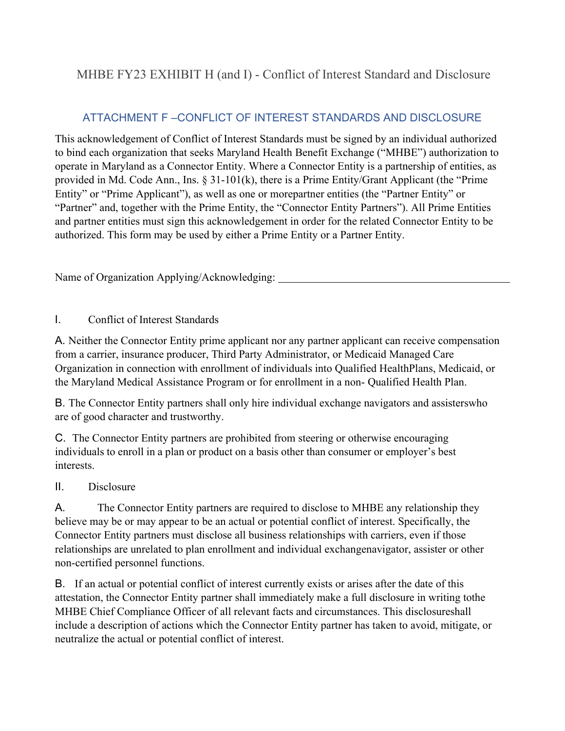## MHBE FY23 EXHIBIT H (and I) - Conflict of Interest Standard and Disclosure

## ATTACHMENT F –CONFLICT OF INTEREST STANDARDS AND DISCLOSURE

This acknowledgement of Conflict of Interest Standards must be signed by an individual authorized to bind each organization that seeks Maryland Health Benefit Exchange ("MHBE") authorization to operate in Maryland as a Connector Entity. Where a Connector Entity is a partnership of entities, as provided in Md. Code Ann., Ins. § 31-101(k), there is a Prime Entity/Grant Applicant (the "Prime Entity" or "Prime Applicant"), as well as one or morepartner entities (the "Partner Entity" or "Partner" and, together with the Prime Entity, the "Connector Entity Partners"). All Prime Entities and partner entities must sign this acknowledgement in order for the related Connector Entity to be authorized. This form may be used by either a Prime Entity or a Partner Entity.

Name of Organization Applying/Acknowledging:

## I. Conflict of Interest Standards

A. Neither the Connector Entity prime applicant nor any partner applicant can receive compensation from a carrier, insurance producer, Third Party Administrator, or Medicaid Managed Care Organization in connection with enrollment of individuals into Qualified Health Plans, Medicaid, or the Maryland Medical Assistance Program or for enrollment in a non- Qualified Health Plan.

B. The Connector Entity partners shall only hire individual exchange navigators and assisters who are of good character and trustworthy.

C. The Connector Entity partners are prohibited from steering or otherwise encouraging individuals to enroll in a plan or product on a basis other than consumer or employer's best interests.

## II. Disclosure

A. The Connector Entity partners are required to disclose to MHBE any relationship they believe may be or may appear to be an actual or potential conflict of interest. Specifically, the Connector Entity partners must disclose all business relationships with carriers, even if those relationships are unrelated to plan enrollment and individual exchangenavigator, assister or other non-certified personnel functions.

B. If an actual or potential conflict of interest currently exists or arises after the date of this attestation, the Connector Entity partner shall immediately make a full disclosure in writing tothe MHBE Chief Compliance Officer of all relevant facts and circumstances. This disclosureshall include a description of actions which the Connector Entity partner has taken to avoid, mitigate, or neutralize the actual or potential conflict of interest.